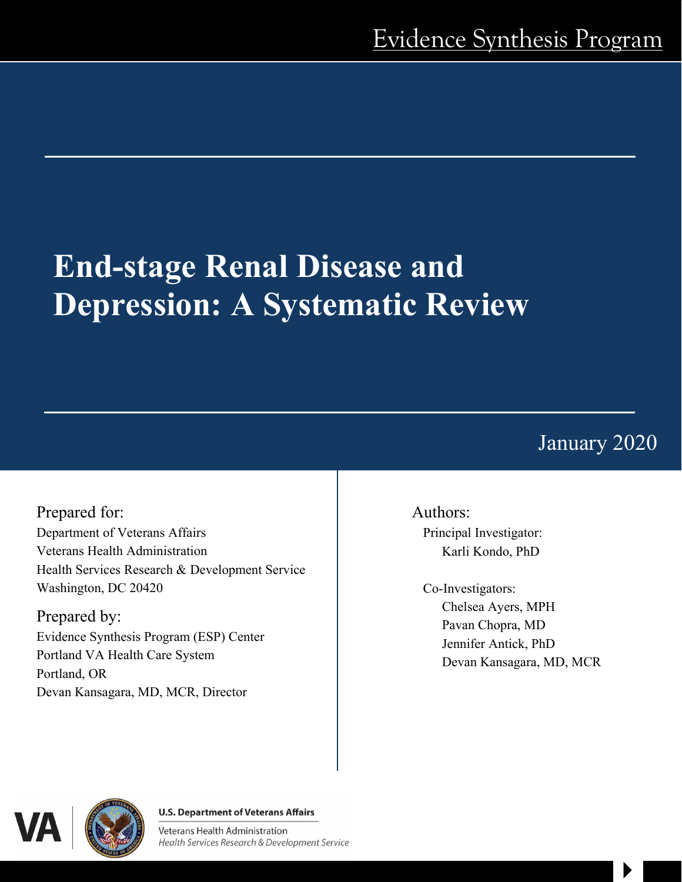# **End-stage Renal Disease and Depression: A Systematic Review**

January 2020

 $\blacktriangleright$ 

Prepared for: Department of Veterans Affairs Veterans Health Administration Health Services Research & Development Service Washington, DC 20420

Prepared by: Evidence Synthesis Program (ESP) Center Portland VA Health Care System Portland, OR Devan Kansagara, MD, MCR, Director

Authors:

Principal Investigator: Karli Kondo, PhD

Co-Investigators: Chelsea Ayers, MPH Pavan Chopra, MD Jennifer Antick, PhD Devan Kansagara, MD, MCR



#### **U.S. Department of Veterans Affairs**

Veterans Health Administration Health Services Research & Development Service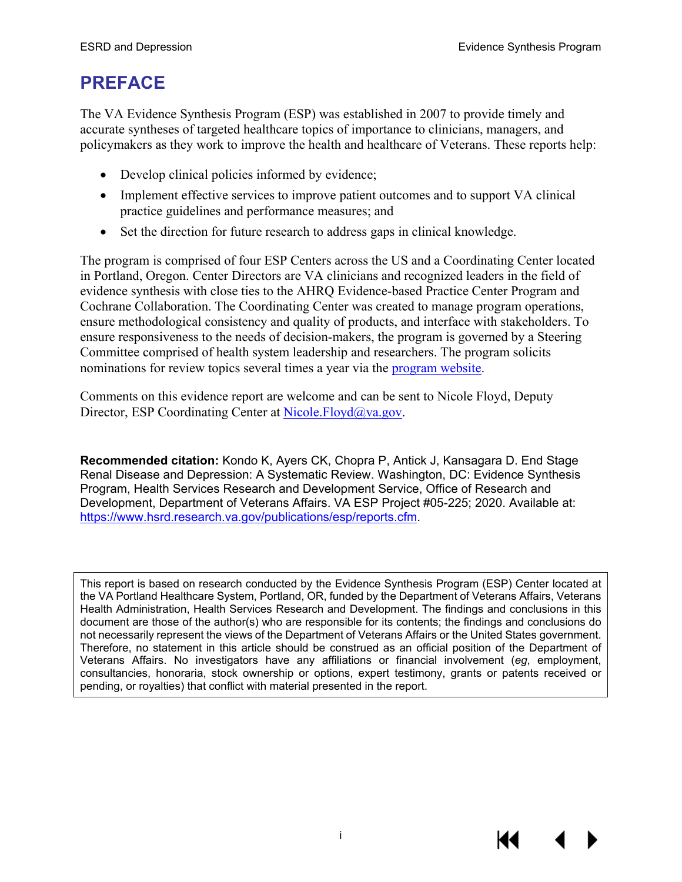# **PREFACE**

The VA Evidence Synthesis Program (ESP) was established in 2007 to provide timely and accurate syntheses of targeted healthcare topics of importance to clinicians, managers, and policymakers as they work to improve the health and healthcare of Veterans. These reports help:

- Develop clinical policies informed by evidence;
- Implement effective services to improve patient outcomes and to support VA clinical practice guidelines and performance measures; and
- Set the direction for future research to address gaps in clinical knowledge.

The program is comprised of four ESP Centers across the US and a Coordinating Center located in Portland, Oregon. Center Directors are VA clinicians and recognized leaders in the field of evidence synthesis with close ties to the AHRQ Evidence-based Practice Center Program and Cochrane Collaboration. The Coordinating Center was created to manage program operations, ensure methodological consistency and quality of products, and interface with stakeholders. To ensure responsiveness to the needs of decision-makers, the program is governed by a Steering Committee comprised of health system leadership and researchers. The program solicits nominations for review topics several times a year via the [program website.](https://www.hsrd.research.va.gov/publications/esp/TopicNomination.cfm)

Comments on this evidence report are welcome and can be sent to Nicole Floyd, Deputy Director, ESP Coordinating Center at [Nicole.Floyd@va.gov.](mailto:Nicole.Floyd@va.gov)

**Recommended citation:** Kondo K, Ayers CK, Chopra P, Antick J, Kansagara D. End Stage Renal Disease and Depression: A Systematic Review. Washington, DC: Evidence Synthesis Program, Health Services Research and Development Service, Office of Research and Development, Department of Veterans Affairs. VA ESP Project #05-225; 2020. Available at: [https://www.hsrd.research.va.gov/publications/esp/reports.cfm.](https://www.hsrd.research.va.gov/publications/esp/reports.cfm)

This report is based on research conducted by the Evidence Synthesis Program (ESP) Center located at the VA Portland Healthcare System, Portland, OR, funded by the Department of Veterans Affairs, Veterans Health Administration, Health Services Research and Development. The findings and conclusions in this document are those of the author(s) who are responsible for its contents; the findings and conclusions do not necessarily represent the views of the Department of Veterans Affairs or the United States government. Therefore, no statement in this article should be construed as an official position of the Department of Veterans Affairs. No investigators have any affiliations or financial involvement (*eg*, employment, consultancies, honoraria, stock ownership or options, expert testimony, grants or patents received or pending, or royalties) that conflict with material presented in the report.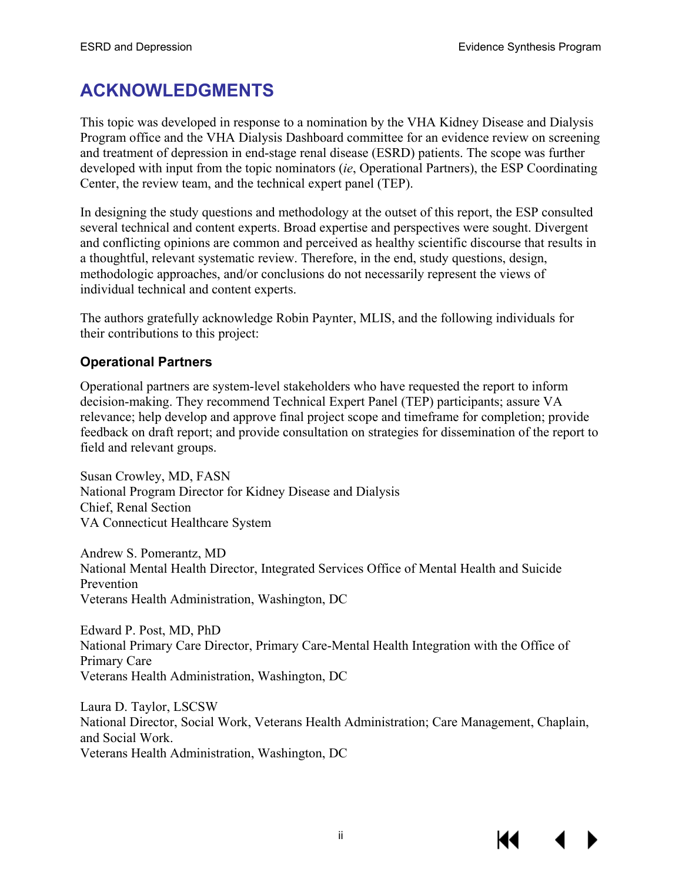# **ACKNOWLEDGMENTS**

This topic was developed in response to a nomination by the VHA Kidney Disease and Dialysis Program office and the VHA Dialysis Dashboard committee for an evidence review on screening and treatment of depression in end-stage renal disease (ESRD) patients. The scope was further developed with input from the topic nominators (*ie*, Operational Partners), the ESP Coordinating Center, the review team, and the technical expert panel (TEP).

In designing the study questions and methodology at the outset of this report, the ESP consulted several technical and content experts. Broad expertise and perspectives were sought. Divergent and conflicting opinions are common and perceived as healthy scientific discourse that results in a thoughtful, relevant systematic review. Therefore, in the end, study questions, design, methodologic approaches, and/or conclusions do not necessarily represent the views of individual technical and content experts.

The authors gratefully acknowledge Robin Paynter, MLIS, and the following individuals for their contributions to this project:

## **Operational Partners**

Operational partners are system-level stakeholders who have requested the report to inform decision-making. They recommend Technical Expert Panel (TEP) participants; assure VA relevance; help develop and approve final project scope and timeframe for completion; provide feedback on draft report; and provide consultation on strategies for dissemination of the report to field and relevant groups.

Susan Crowley, MD, FASN National Program Director for Kidney Disease and Dialysis Chief, Renal Section VA Connecticut Healthcare System

Andrew S. Pomerantz, MD National Mental Health Director, Integrated Services Office of Mental Health and Suicide Prevention Veterans Health Administration, Washington, DC

Edward P. Post, MD, PhD National Primary Care Director, Primary Care-Mental Health Integration with the Office of Primary Care Veterans Health Administration, Washington, DC

Laura D. Taylor, LSCSW National Director, Social Work, Veterans Health Administration; Care Management, Chaplain, and Social Work. Veterans Health Administration, Washington, DC

K4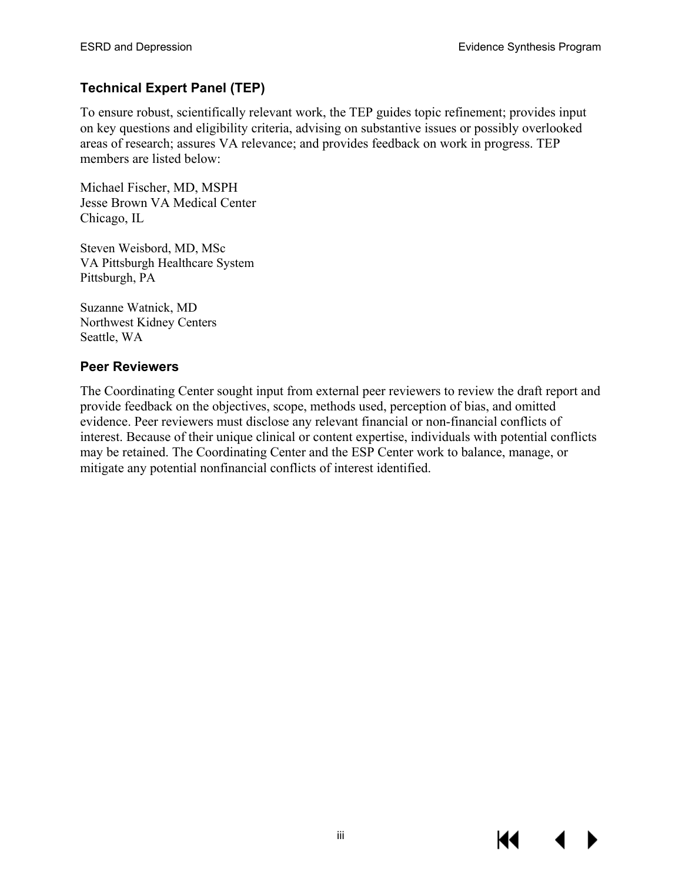## **Technical Expert Panel (TEP)**

To ensure robust, scientifically relevant work, the TEP guides topic refinement; provides input on key questions and eligibility criteria, advising on substantive issues or possibly overlooked areas of research; assures VA relevance; and provides feedback on work in progress. TEP members are listed below:

Michael Fischer, MD, MSPH Jesse Brown VA Medical Center Chicago, IL

Steven Weisbord, MD, MSc VA Pittsburgh Healthcare System Pittsburgh, PA

Suzanne Watnick, MD Northwest Kidney Centers Seattle, WA

#### **Peer Reviewers**

The Coordinating Center sought input from external peer reviewers to review the draft report and provide feedback on the objectives, scope, methods used, perception of bias, and omitted evidence. Peer reviewers must disclose any relevant financial or non-financial conflicts of interest. Because of their unique clinical or content expertise, individuals with potential conflicts may be retained. The Coordinating Center and the ESP Center work to balance, manage, or mitigate any potential nonfinancial conflicts of interest identified.

К€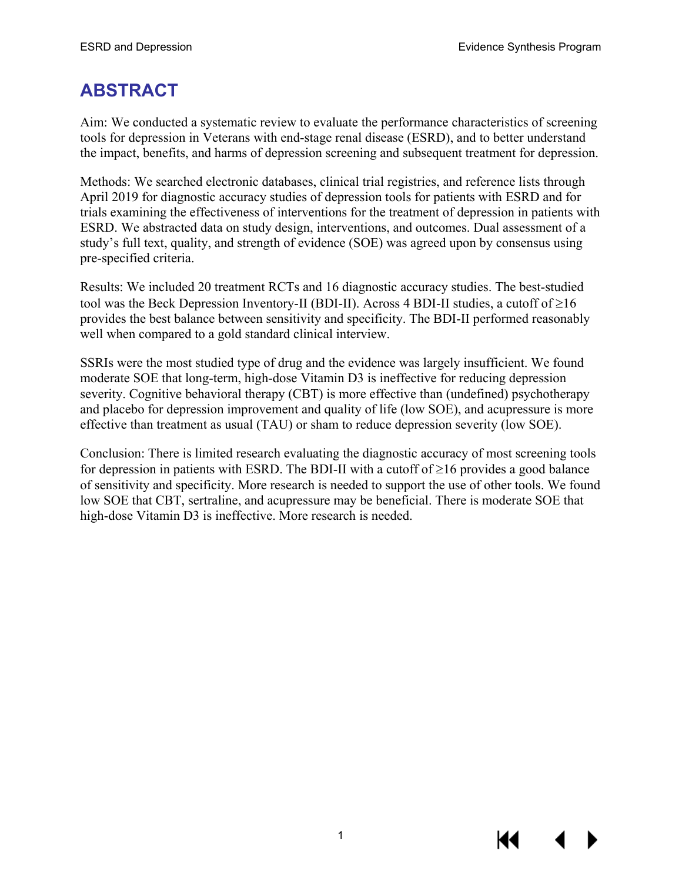# **ABSTRACT**

Aim: We conducted a systematic review to evaluate the performance characteristics of screening tools for depression in Veterans with end-stage renal disease (ESRD), and to better understand the impact, benefits, and harms of depression screening and subsequent treatment for depression.

Methods: We searched electronic databases, clinical trial registries, and reference lists through April 2019 for diagnostic accuracy studies of depression tools for patients with ESRD and for trials examining the effectiveness of interventions for the treatment of depression in patients with ESRD. We abstracted data on study design, interventions, and outcomes. Dual assessment of a study's full text, quality, and strength of evidence (SOE) was agreed upon by consensus using pre-specified criteria.

Results: We included 20 treatment RCTs and 16 diagnostic accuracy studies. The best-studied tool was the Beck Depression Inventory-II (BDI-II). Across 4 BDI-II studies, a cutoff of ≥16 provides the best balance between sensitivity and specificity. The BDI-II performed reasonably well when compared to a gold standard clinical interview.

SSRIs were the most studied type of drug and the evidence was largely insufficient. We found moderate SOE that long-term, high-dose Vitamin D3 is ineffective for reducing depression severity. Cognitive behavioral therapy (CBT) is more effective than (undefined) psychotherapy and placebo for depression improvement and quality of life (low SOE), and acupressure is more effective than treatment as usual (TAU) or sham to reduce depression severity (low SOE).

Conclusion: There is limited research evaluating the diagnostic accuracy of most screening tools for depression in patients with ESRD. The BDI-II with a cutoff of  $\geq 16$  provides a good balance of sensitivity and specificity. More research is needed to support the use of other tools. We found low SOE that CBT, sertraline, and acupressure may be beneficial. There is moderate SOE that high-dose Vitamin D3 is ineffective. More research is needed.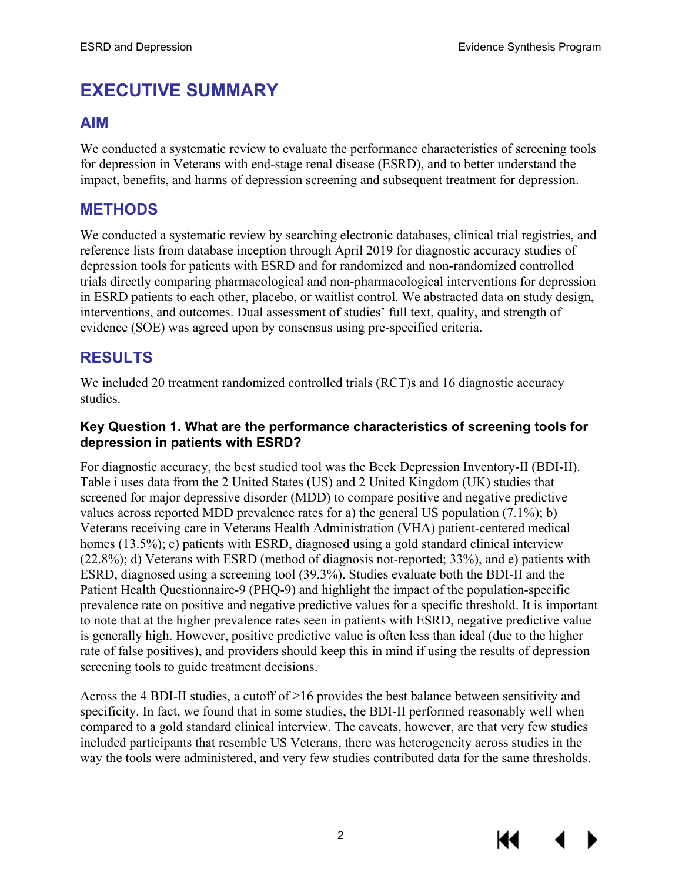# **EXECUTIVE SUMMARY**

### **AIM**

We conducted a systematic review to evaluate the performance characteristics of screening tools for depression in Veterans with end-stage renal disease (ESRD), and to better understand the impact, benefits, and harms of depression screening and subsequent treatment for depression.

## **METHODS**

We conducted a systematic review by searching electronic databases, clinical trial registries, and reference lists from database inception through April 2019 for diagnostic accuracy studies of depression tools for patients with ESRD and for randomized and non-randomized controlled trials directly comparing pharmacological and non-pharmacological interventions for depression in ESRD patients to each other, placebo, or waitlist control. We abstracted data on study design, interventions, and outcomes. Dual assessment of studies' full text, quality, and strength of evidence (SOE) was agreed upon by consensus using pre-specified criteria.

## **RESULTS**

We included 20 treatment randomized controlled trials (RCT) and 16 diagnostic accuracy studies.

#### **Key Question 1. What are the performance characteristics of screening tools for depression in patients with ESRD?**

For diagnostic accuracy, the best studied tool was the Beck Depression Inventory-II (BDI-II). Table i uses data from the 2 United States (US) and 2 United Kingdom (UK) studies that screened for major depressive disorder (MDD) to compare positive and negative predictive values across reported MDD prevalence rates for a) the general US population (7.1%); b) Veterans receiving care in Veterans Health Administration (VHA) patient-centered medical homes (13.5%); c) patients with ESRD, diagnosed using a gold standard clinical interview (22.8%); d) Veterans with ESRD (method of diagnosis not-reported; 33%), and e) patients with ESRD, diagnosed using a screening tool (39.3%). Studies evaluate both the BDI-II and the Patient Health Questionnaire-9 (PHQ-9) and highlight the impact of the population-specific prevalence rate on positive and negative predictive values for a specific threshold. It is important to note that at the higher prevalence rates seen in patients with ESRD, negative predictive value is generally high. However, positive predictive value is often less than ideal (due to the higher rate of false positives), and providers should keep this in mind if using the results of depression screening tools to guide treatment decisions.

Across the 4 BDI-II studies, a cutoff of  $\geq$ 16 provides the best balance between sensitivity and specificity. In fact, we found that in some studies, the BDI-II performed reasonably well when compared to a gold standard clinical interview. The caveats, however, are that very few studies included participants that resemble US Veterans, there was heterogeneity across studies in the way the tools were administered, and very few studies contributed data for the same thresholds.



KI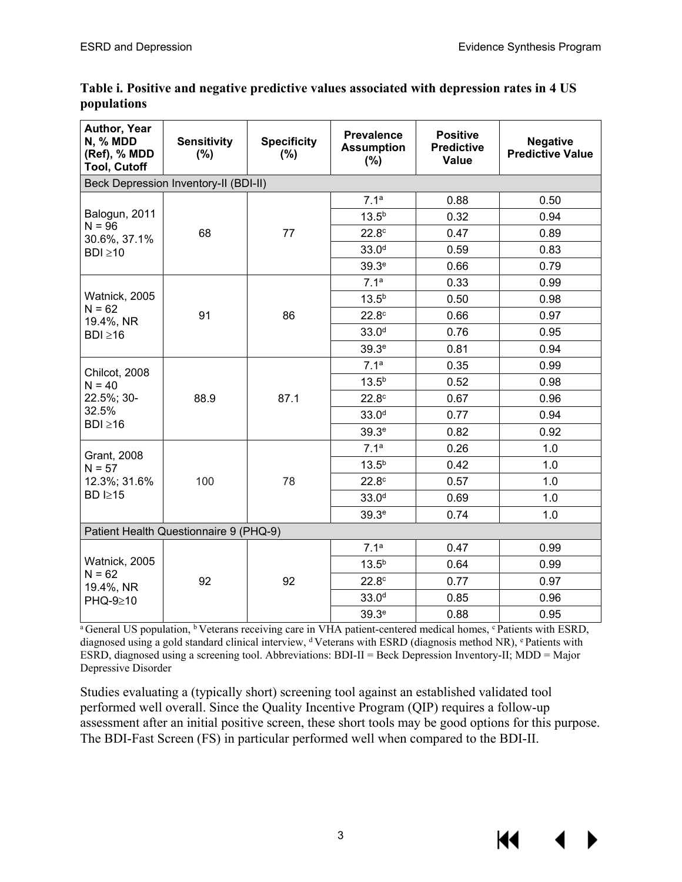| Author, Year<br><b>N, % MDD</b><br>(Ref), % MDD<br><b>Tool, Cutoff</b> | <b>Sensitivity</b><br>$(\%)$           | <b>Specificity</b><br>$(\% )$ | <b>Prevalence</b><br><b>Assumption</b><br>(%) | <b>Positive</b><br><b>Predictive</b><br><b>Value</b> | <b>Negative</b><br><b>Predictive Value</b> |  |
|------------------------------------------------------------------------|----------------------------------------|-------------------------------|-----------------------------------------------|------------------------------------------------------|--------------------------------------------|--|
| Beck Depression Inventory-II (BDI-II)                                  |                                        |                               |                                               |                                                      |                                            |  |
| Balogun, 2011<br>$N = 96$<br>30.6%, 37.1%<br>$BDI \ge 10$              | 68                                     | 77                            | 7.1 <sup>a</sup>                              | 0.88                                                 | 0.50                                       |  |
|                                                                        |                                        |                               | $13.5^{b}$                                    | 0.32                                                 | 0.94                                       |  |
|                                                                        |                                        |                               | 22.8 <sup>c</sup>                             | 0.47                                                 | 0.89                                       |  |
|                                                                        |                                        |                               | 33.0 <sup>d</sup>                             | 0.59                                                 | 0.83                                       |  |
|                                                                        |                                        |                               | 39.3 <sup>e</sup>                             | 0.66                                                 | 0.79                                       |  |
| Watnick, 2005<br>$N = 62$<br>19.4%, NR                                 | 91                                     | 86                            | 7.1 <sup>a</sup>                              | 0.33                                                 | 0.99                                       |  |
|                                                                        |                                        |                               | $13.5^{b}$                                    | 0.50                                                 | 0.98                                       |  |
|                                                                        |                                        |                               | 22.8 <sup>c</sup>                             | 0.66                                                 | 0.97                                       |  |
| $BDI \ge 16$                                                           |                                        |                               | 33.0 <sup>d</sup>                             | 0.76                                                 | 0.95                                       |  |
|                                                                        |                                        |                               | 39.3 <sup>e</sup>                             | 0.81                                                 | 0.94                                       |  |
| Chilcot, 2008                                                          | 88.9                                   | 87.1                          | 7.1 <sup>a</sup>                              | 0.35                                                 | 0.99                                       |  |
| $N = 40$                                                               |                                        |                               | $13.5^{b}$                                    | 0.52                                                 | 0.98                                       |  |
| 22.5%; 30-<br>32.5%<br>$BDI \ge 16$                                    |                                        |                               | 22.8 <sup>c</sup>                             | 0.67                                                 | 0.96                                       |  |
|                                                                        |                                        |                               | 33.0 <sup>d</sup>                             | 0.77                                                 | 0.94                                       |  |
|                                                                        |                                        |                               | 39.3 <sup>e</sup>                             | 0.82                                                 | 0.92                                       |  |
|                                                                        | 100                                    | 78                            | 7.1 <sup>a</sup>                              | 0.26                                                 | 1.0                                        |  |
| <b>Grant, 2008</b><br>$N = 57$                                         |                                        |                               | $13.5^{b}$                                    | 0.42                                                 | 1.0                                        |  |
| 12.3%; 31.6%                                                           |                                        |                               | 22.8 <sup>c</sup>                             | 0.57                                                 | 1.0                                        |  |
| <b>BD I≥15</b>                                                         |                                        |                               | 33.0 <sup>d</sup>                             | 0.69                                                 | 1.0                                        |  |
|                                                                        |                                        |                               | 39.3 <sup>e</sup>                             | 0.74                                                 | 1.0                                        |  |
|                                                                        | Patient Health Questionnaire 9 (PHQ-9) |                               |                                               |                                                      |                                            |  |
|                                                                        | 92                                     | 92                            | 7.1 <sup>a</sup>                              | 0.47                                                 | 0.99                                       |  |
| Watnick, 2005<br>$N = 62$<br>19.4%, NR<br>PHQ-9≥10                     |                                        |                               | $13.5^{b}$                                    | 0.64                                                 | 0.99                                       |  |
|                                                                        |                                        |                               | 22.8 <sup>c</sup>                             | 0.77                                                 | 0.97                                       |  |
|                                                                        |                                        |                               | 33.0 <sup>d</sup>                             | 0.85                                                 | 0.96                                       |  |
|                                                                        |                                        |                               | 39.3 <sup>e</sup>                             | 0.88                                                 | 0.95                                       |  |

#### **Table i. Positive and negative predictive values associated with depression rates in 4 US populations**

<sup>a</sup> General US population, <sup>b</sup> Veterans receiving care in VHA patient-centered medical homes, <sup>c</sup> Patients with ESRD, diagnosed using a gold standard clinical interview, <sup>d</sup> Veterans with ESRD (diagnosis method NR), <sup>e</sup> Patients with ESRD, diagnosed using a screening tool. Abbreviations: BDI-II = Beck Depression Inventory-II; MDD = Major Depressive Disorder

Studies evaluating a (typically short) screening tool against an established validated tool performed well overall. Since the Quality Incentive Program (QIP) requires a follow-up assessment after an initial positive screen, these short tools may be good options for this purpose. The BDI-Fast Screen (FS) in particular performed well when compared to the BDI-II.

KI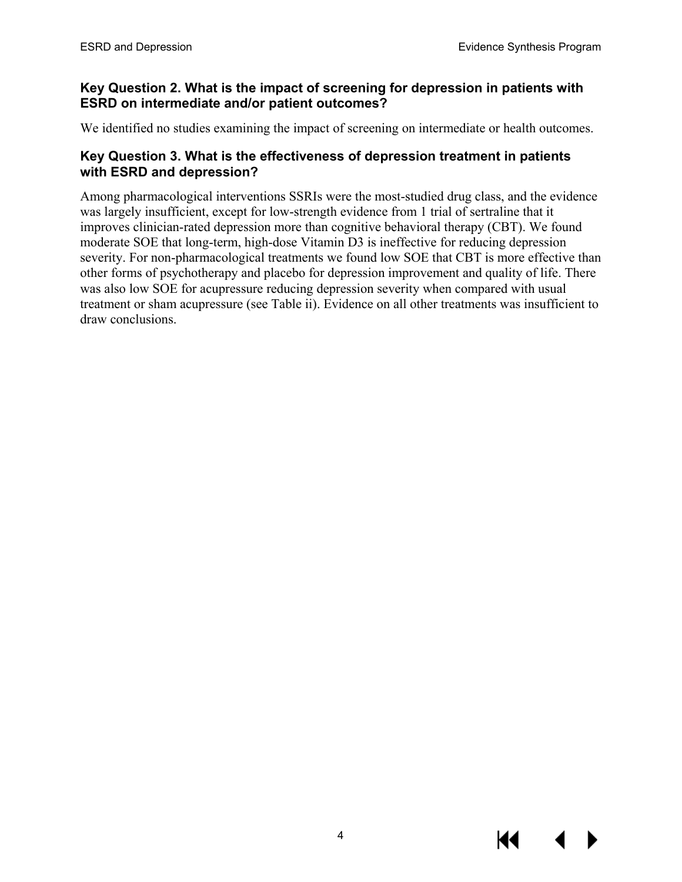#### **Key Question 2. What is the impact of screening for depression in patients with ESRD on intermediate and/or patient outcomes?**

We identified no studies examining the impact of screening on intermediate or health outcomes.

#### **Key Question 3. What is the effectiveness of depression treatment in patients with ESRD and depression?**

Among pharmacological interventions SSRIs were the most-studied drug class, and the evidence was largely insufficient, except for low-strength evidence from 1 trial of sertraline that it improves clinician-rated depression more than cognitive behavioral therapy (CBT). We found moderate SOE that long-term, high-dose Vitamin D3 is ineffective for reducing depression severity. For non-pharmacological treatments we found low SOE that CBT is more effective than other forms of psychotherapy and placebo for depression improvement and quality of life. There was also low SOE for acupressure reducing depression severity when compared with usual treatment or sham acupressure (see Table ii). Evidence on all other treatments was insufficient to draw conclusions.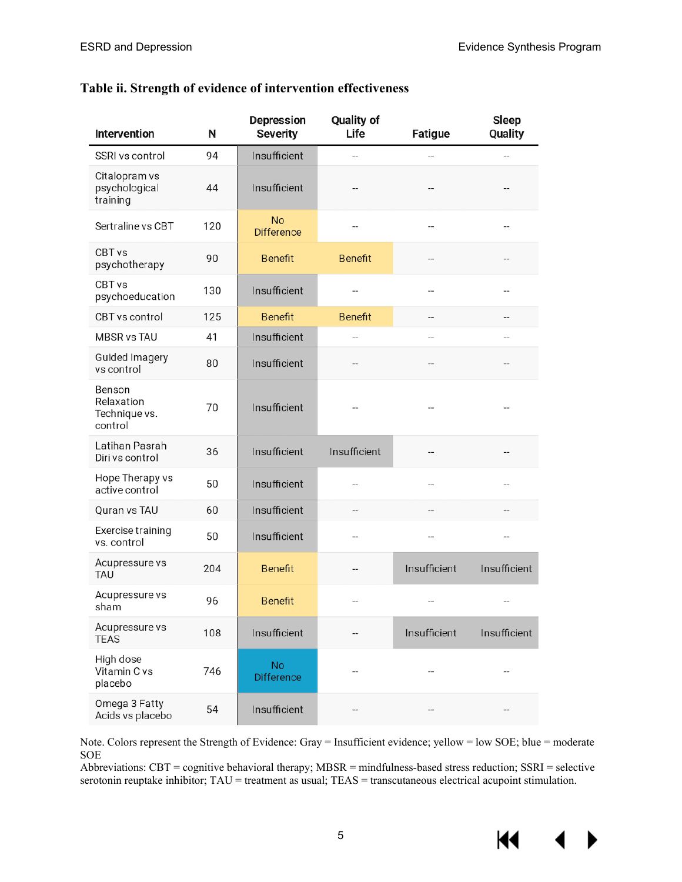#### **Table ii. Strength of evidence of intervention effectiveness**

| Intervention                                     | N   | <b>Depression</b><br><b>Severity</b> | Quality of<br>Life | Fatigue           | Sleep<br>Quality |
|--------------------------------------------------|-----|--------------------------------------|--------------------|-------------------|------------------|
| SSRI vs control                                  | 94  | Insufficient                         |                    | --                | --               |
| Citalopram vs<br>psychological<br>training       | 44  | Insufficient                         |                    |                   |                  |
| Sertraline vs CBT                                | 120 | <b>No</b><br><b>Difference</b>       |                    | --                | --               |
| CBT <sub>vs</sub><br>psychotherapy               | 90  | <b>Benefit</b>                       | <b>Benefit</b>     |                   |                  |
| CBT vs<br>psychoeducation                        | 130 | Insufficient                         |                    | --                |                  |
| CBT vs control                                   | 125 | <b>Benefit</b>                       | <b>Benefit</b>     | --                |                  |
| <b>MBSR vs TAU</b>                               | 41  | Insufficient                         |                    | --                |                  |
| <b>Guided Imagery</b><br>vs control              | 80  | Insufficient                         |                    |                   |                  |
| Benson<br>Relaxation<br>Technique vs.<br>control | 70  | Insufficient                         |                    |                   |                  |
| Latihan Pasrah<br>Diri vs control                | 36  | Insufficient                         | Insufficient       |                   |                  |
| Hope Therapy vs<br>active control                | 50  | Insufficient                         |                    | --                |                  |
| Quran vs TAU                                     | 60  | Insufficient                         |                    |                   |                  |
| Exercise training<br>vs. control                 | 50  | Insufficient                         |                    |                   |                  |
| Acupressure vs<br>TAU                            | 204 | <b>Benefit</b>                       |                    | Insufficient      | Insufficient     |
| Acupressure vs<br>sham                           | 96  | <b>Benefit</b>                       |                    |                   |                  |
| Acupressure vs<br><b>TEAS</b>                    | 108 | Insufficient                         |                    | Insufficient      | Insufficient     |
| High dose<br>Vitamin C vs<br>placebo             | 746 | <b>No</b><br><b>Difference</b>       | --                 | $\qquad \qquad -$ |                  |
| Omega 3 Fatty<br>Acids vs placebo                | 54  | Insufficient                         |                    |                   |                  |

Note. Colors represent the Strength of Evidence: Gray = Insufficient evidence; yellow = low SOE; blue = moderate SOE

Abbreviations: CBT = cognitive behavioral therapy; MBSR = mindfulness-based stress reduction; SSRI = selective serotonin reuptake inhibitor; TAU = treatment as usual; TEAS = transcutaneous electrical acupoint stimulation.

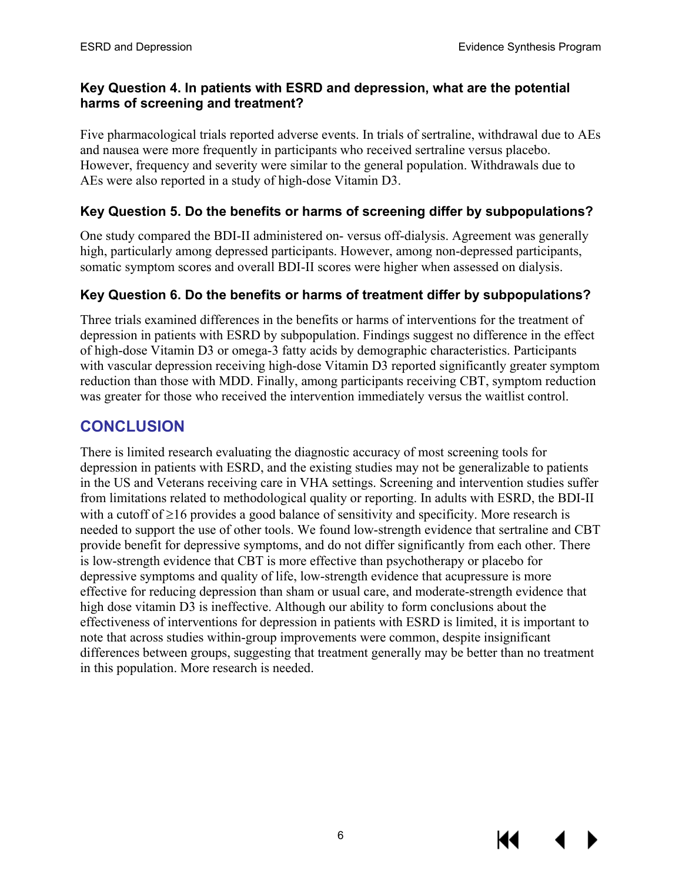#### **Key Question 4. In patients with ESRD and depression, what are the potential harms of screening and treatment?**

Five pharmacological trials reported adverse events. In trials of sertraline, withdrawal due to AEs and nausea were more frequently in participants who received sertraline versus placebo. However, frequency and severity were similar to the general population. Withdrawals due to AEs were also reported in a study of high-dose Vitamin D3.

#### **Key Question 5. Do the benefits or harms of screening differ by subpopulations?**

One study compared the BDI-II administered on- versus off-dialysis. Agreement was generally high, particularly among depressed participants. However, among non-depressed participants, somatic symptom scores and overall BDI-II scores were higher when assessed on dialysis.

#### **Key Question 6. Do the benefits or harms of treatment differ by subpopulations?**

Three trials examined differences in the benefits or harms of interventions for the treatment of depression in patients with ESRD by subpopulation. Findings suggest no difference in the effect of high-dose Vitamin D3 or omega-3 fatty acids by demographic characteristics. Participants with vascular depression receiving high-dose Vitamin D3 reported significantly greater symptom reduction than those with MDD. Finally, among participants receiving CBT, symptom reduction was greater for those who received the intervention immediately versus the waitlist control.

## **CONCLUSION**

There is limited research evaluating the diagnostic accuracy of most screening tools for depression in patients with ESRD, and the existing studies may not be generalizable to patients in the US and Veterans receiving care in VHA settings. Screening and intervention studies suffer from limitations related to methodological quality or reporting. In adults with ESRD, the BDI-II with a cutoff of ≥16 provides a good balance of sensitivity and specificity. More research is needed to support the use of other tools. We found low-strength evidence that sertraline and CBT provide benefit for depressive symptoms, and do not differ significantly from each other. There is low-strength evidence that CBT is more effective than psychotherapy or placebo for depressive symptoms and quality of life, low-strength evidence that acupressure is more effective for reducing depression than sham or usual care, and moderate-strength evidence that high dose vitamin D3 is ineffective. Although our ability to form conclusions about the effectiveness of interventions for depression in patients with ESRD is limited, it is important to note that across studies within-group improvements were common, despite insignificant differences between groups, suggesting that treatment generally may be better than no treatment in this population. More research is needed.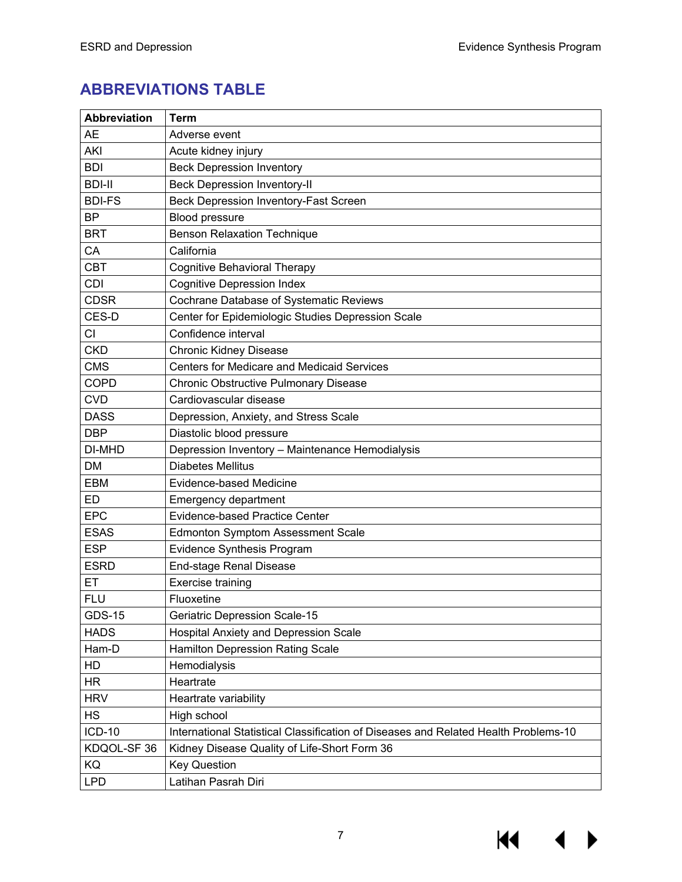$M \rightarrow$ 

# **ABBREVIATIONS TABLE**

| <b>Abbreviation</b> | Term                                                                                |
|---------------------|-------------------------------------------------------------------------------------|
| <b>AE</b>           | Adverse event                                                                       |
| AKI                 | Acute kidney injury                                                                 |
| <b>BDI</b>          | <b>Beck Depression Inventory</b>                                                    |
| <b>BDI-II</b>       | <b>Beck Depression Inventory-II</b>                                                 |
| <b>BDI-FS</b>       | <b>Beck Depression Inventory-Fast Screen</b>                                        |
| <b>BP</b>           | <b>Blood pressure</b>                                                               |
| <b>BRT</b>          | <b>Benson Relaxation Technique</b>                                                  |
| CA                  | California                                                                          |
| <b>CBT</b>          | <b>Cognitive Behavioral Therapy</b>                                                 |
| <b>CDI</b>          | <b>Cognitive Depression Index</b>                                                   |
| <b>CDSR</b>         | Cochrane Database of Systematic Reviews                                             |
| CES-D               | Center for Epidemiologic Studies Depression Scale                                   |
| CI                  | Confidence interval                                                                 |
| <b>CKD</b>          | Chronic Kidney Disease                                                              |
| <b>CMS</b>          | <b>Centers for Medicare and Medicaid Services</b>                                   |
| <b>COPD</b>         | <b>Chronic Obstructive Pulmonary Disease</b>                                        |
| <b>CVD</b>          | Cardiovascular disease                                                              |
| <b>DASS</b>         | Depression, Anxiety, and Stress Scale                                               |
| <b>DBP</b>          | Diastolic blood pressure                                                            |
| DI-MHD              | Depression Inventory - Maintenance Hemodialysis                                     |
| DM                  | <b>Diabetes Mellitus</b>                                                            |
| <b>EBM</b>          | Evidence-based Medicine                                                             |
| ED                  | <b>Emergency department</b>                                                         |
| <b>EPC</b>          | <b>Evidence-based Practice Center</b>                                               |
| <b>ESAS</b>         | <b>Edmonton Symptom Assessment Scale</b>                                            |
| <b>ESP</b>          | Evidence Synthesis Program                                                          |
| <b>ESRD</b>         | <b>End-stage Renal Disease</b>                                                      |
| ET                  | Exercise training                                                                   |
| <b>FLU</b>          | Fluoxetine                                                                          |
| <b>GDS-15</b>       | <b>Geriatric Depression Scale-15</b>                                                |
| <b>HADS</b>         | <b>Hospital Anxiety and Depression Scale</b>                                        |
| Ham-D               | <b>Hamilton Depression Rating Scale</b>                                             |
| HD                  | Hemodialysis                                                                        |
| <b>HR</b>           | Heartrate                                                                           |
| <b>HRV</b>          | Heartrate variability                                                               |
| <b>HS</b>           | High school                                                                         |
| <b>ICD-10</b>       | International Statistical Classification of Diseases and Related Health Problems-10 |
| KDQOL-SF 36         | Kidney Disease Quality of Life-Short Form 36                                        |
| KQ                  | <b>Key Question</b>                                                                 |
| <b>LPD</b>          | Latihan Pasrah Diri                                                                 |

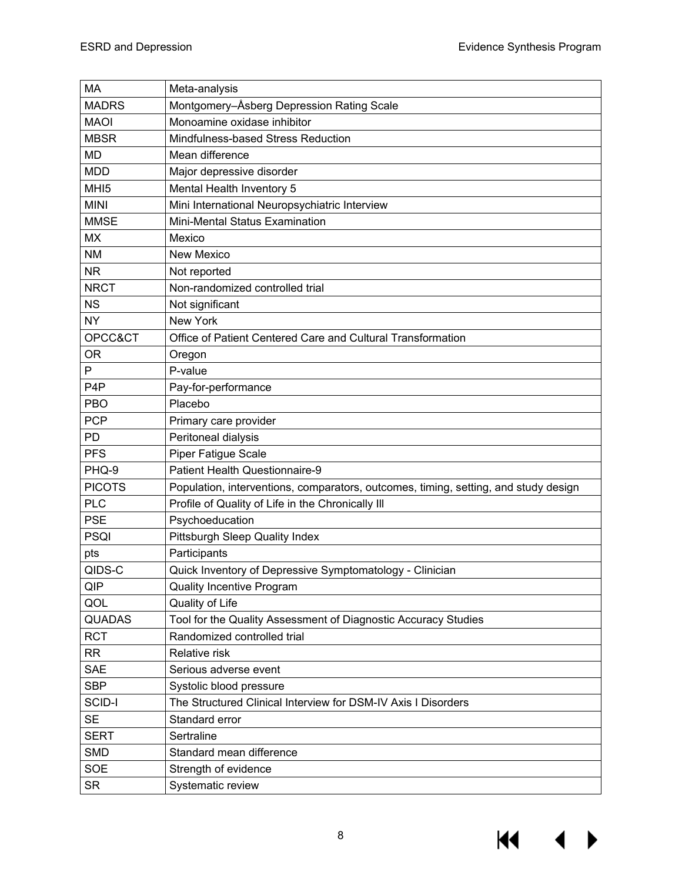$M \rightarrow$ 

| <b>MA</b>        | Meta-analysis                                                                       |  |  |
|------------------|-------------------------------------------------------------------------------------|--|--|
| <b>MADRS</b>     | Montgomery-Åsberg Depression Rating Scale                                           |  |  |
| <b>MAOI</b>      | Monoamine oxidase inhibitor                                                         |  |  |
| <b>MBSR</b>      | Mindfulness-based Stress Reduction                                                  |  |  |
| <b>MD</b>        | Mean difference                                                                     |  |  |
| <b>MDD</b>       | Major depressive disorder                                                           |  |  |
| MHI <sub>5</sub> | Mental Health Inventory 5                                                           |  |  |
| <b>MINI</b>      | Mini International Neuropsychiatric Interview                                       |  |  |
| <b>MMSE</b>      | Mini-Mental Status Examination                                                      |  |  |
| <b>MX</b>        | Mexico                                                                              |  |  |
| <b>NM</b>        | <b>New Mexico</b>                                                                   |  |  |
| <b>NR</b>        | Not reported                                                                        |  |  |
| <b>NRCT</b>      | Non-randomized controlled trial                                                     |  |  |
| <b>NS</b>        | Not significant                                                                     |  |  |
| <b>NY</b>        | New York                                                                            |  |  |
| OPCC&CT          | Office of Patient Centered Care and Cultural Transformation                         |  |  |
| <b>OR</b>        | Oregon                                                                              |  |  |
| P                | P-value                                                                             |  |  |
| P <sub>4</sub> P | Pay-for-performance                                                                 |  |  |
| <b>PBO</b>       | Placebo                                                                             |  |  |
| <b>PCP</b>       | Primary care provider                                                               |  |  |
| PD               | Peritoneal dialysis                                                                 |  |  |
| <b>PFS</b>       | <b>Piper Fatigue Scale</b>                                                          |  |  |
| PHQ-9            | Patient Health Questionnaire-9                                                      |  |  |
| <b>PICOTS</b>    | Population, interventions, comparators, outcomes, timing, setting, and study design |  |  |
| <b>PLC</b>       | Profile of Quality of Life in the Chronically III                                   |  |  |
| <b>PSE</b>       | Psychoeducation                                                                     |  |  |
| <b>PSQI</b>      | Pittsburgh Sleep Quality Index                                                      |  |  |
| pts              | Participants                                                                        |  |  |
| QIDS-C           | Quick Inventory of Depressive Symptomatology - Clinician                            |  |  |
| QIP              | <b>Quality Incentive Program</b>                                                    |  |  |
| QOL              | Quality of Life                                                                     |  |  |
| <b>QUADAS</b>    | Tool for the Quality Assessment of Diagnostic Accuracy Studies                      |  |  |
| <b>RCT</b>       | Randomized controlled trial                                                         |  |  |
| <b>RR</b>        | Relative risk                                                                       |  |  |
| <b>SAE</b>       | Serious adverse event                                                               |  |  |
| <b>SBP</b>       | Systolic blood pressure                                                             |  |  |
| SCID-I           | The Structured Clinical Interview for DSM-IV Axis I Disorders                       |  |  |
| <b>SE</b>        | Standard error                                                                      |  |  |
| <b>SERT</b>      | Sertraline                                                                          |  |  |
| <b>SMD</b>       | Standard mean difference                                                            |  |  |
| <b>SOE</b>       | Strength of evidence                                                                |  |  |
| <b>SR</b>        | Systematic review                                                                   |  |  |